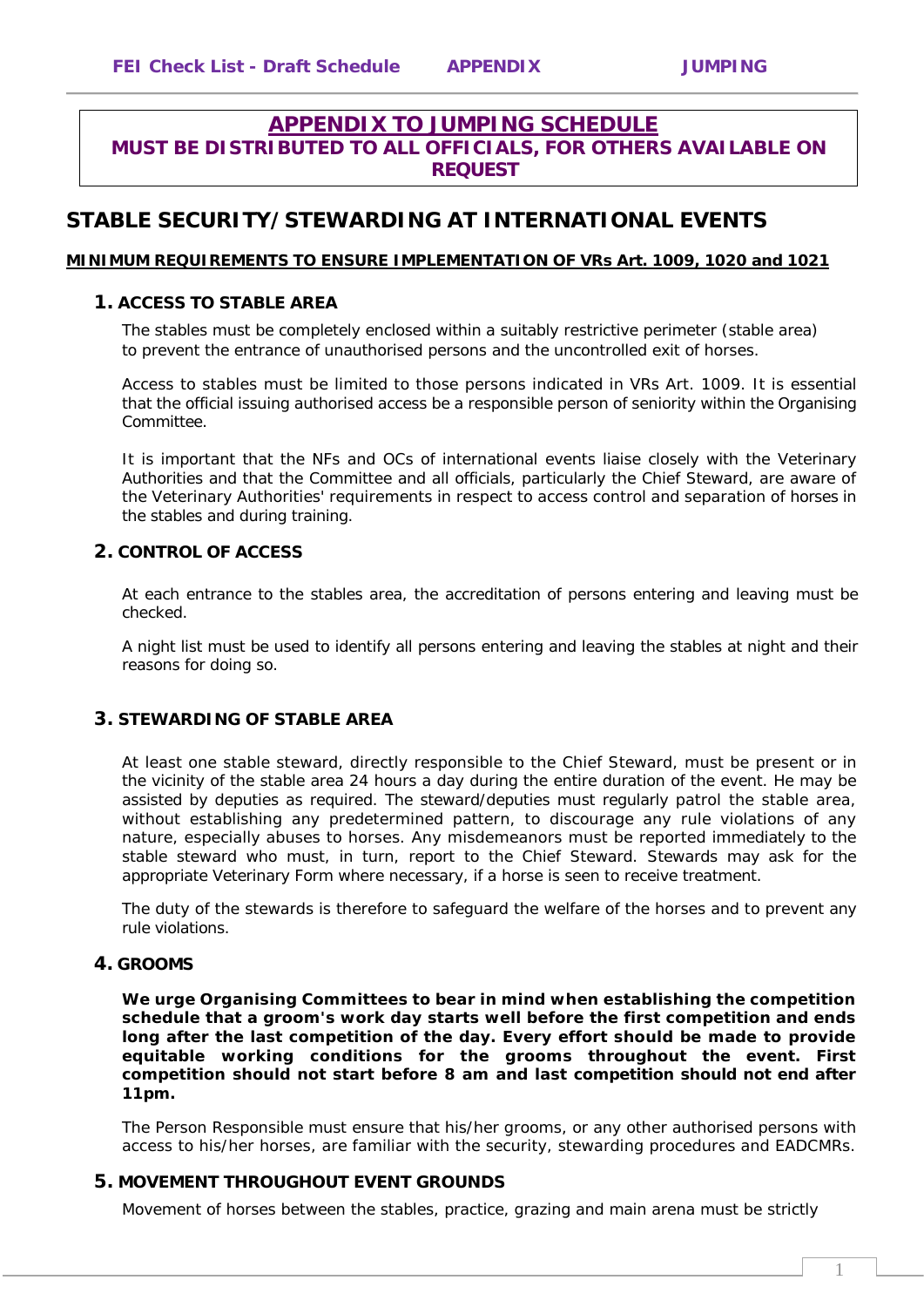## **APPENDIX TO JUMPING SCHEDULE MUST BE DISTRIBUTED TO ALL OFFICIALS, FOR OTHERS AVAILABLE ON REQUEST**

# **STABLE SECURITY/STEWARDING AT INTERNATIONAL EVENTS**

### **MINIMUM REQUIREMENTS TO ENSURE IMPLEMENTATION OF VRs Art. 1009, 1020 and 1021**

#### **1. ACCESS TO STABLE AREA**

The stables must be completely enclosed within a suitably restrictive perimeter (stable area) to prevent the entrance of unauthorised persons and the uncontrolled exit of horses.

Access to stables must be limited to those persons indicated in VRs Art. 1009. It is essential that the official issuing authorised access be a responsible person of seniority within the Organising Committee.

It is important that the NFs and OCs of international events liaise closely with the Veterinary Authorities and that the Committee and all officials, particularly the Chief Steward, are aware of the Veterinary Authorities' requirements in respect to access control and separation of horses in the stables and during training.

### **2. CONTROL OF ACCESS**

At each entrance to the stables area, the accreditation of persons entering and leaving must be checked.

A night list must be used to identify all persons entering and leaving the stables at night and their reasons for doing so.

### **3. STEWARDING OF STABLE AREA**

At least one stable steward, directly responsible to the Chief Steward, must be present or in the vicinity of the stable area 24 hours a day during the entire duration of the event. He may be assisted by deputies as required. The steward/deputies must regularly patrol the stable area, without establishing any predetermined pattern, to discourage any rule violations of any nature, especially abuses to horses. Any misdemeanors must be reported immediately to the stable steward who must, in turn, report to the Chief Steward. Stewards may ask for the appropriate Veterinary Form where necessary, if a horse is seen to receive treatment.

The duty of the stewards is therefore to safeguard the welfare of the horses and to prevent any rule violations.

### **4. GROOMS**

**We urge Organising Committees to bear in mind when establishing the competition schedule that a groom's work day starts well before the first competition and ends long after the last competition of the day. Every effort should be made to provide equitable working conditions for the grooms throughout the event. First competition should not start before 8 am and last competition should not end after 11pm.** 

The Person Responsible must ensure that his/her grooms, or any other authorised persons with access to his/her horses, are familiar with the security, stewarding procedures and EADCMRs.

### **5. MOVEMENT THROUGHOUT EVENT GROUNDS**

Movement of horses between the stables, practice, grazing and main arena must be strictly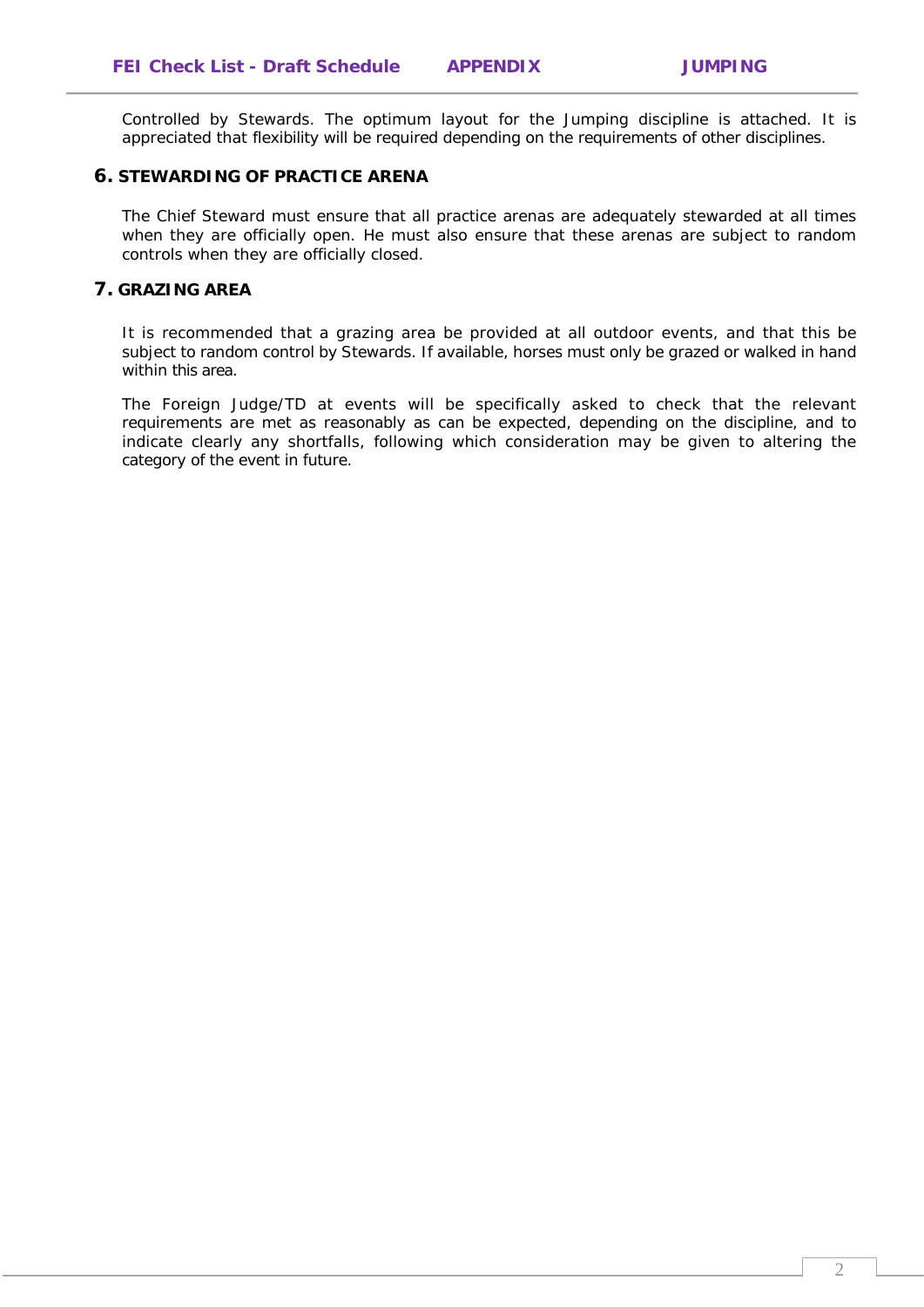Controlled by Stewards. The optimum layout for the Jumping discipline is attached. It is appreciated that flexibility will be required depending on the requirements of other disciplines.

#### **6. STEWARDING OF PRACTICE ARENA**

The Chief Steward must ensure that all practice arenas are adequately stewarded at all times when they are officially open. He must also ensure that these arenas are subject to random controls when they are officially closed.

### **7. GRAZING AREA**

It is recommended that a grazing area be provided at all outdoor events, and that this be subject to random control by Stewards. If available, horses must only be grazed or walked in hand within this area.

The Foreign Judge/TD at events will be specifically asked to check that the relevant requirements are met as reasonably as can be expected, depending on the discipline, and to indicate clearly any shortfalls, following which consideration may be given to altering the category of the event in future.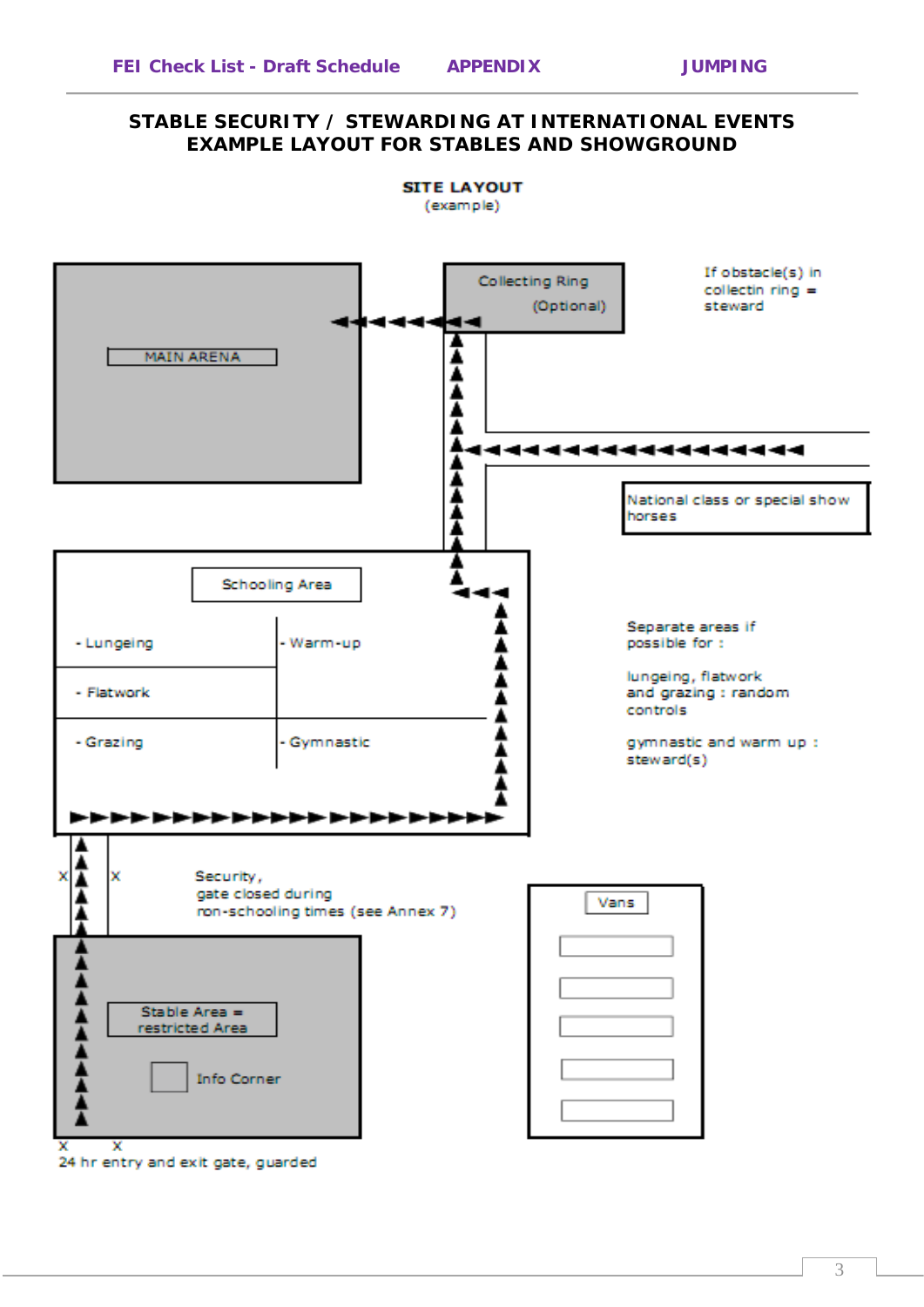## **STABLE SECURITY / STEWARDING AT INTERNATIONAL EVENTS EXAMPLE LAYOUT FOR STABLES AND SHOWGROUND**



3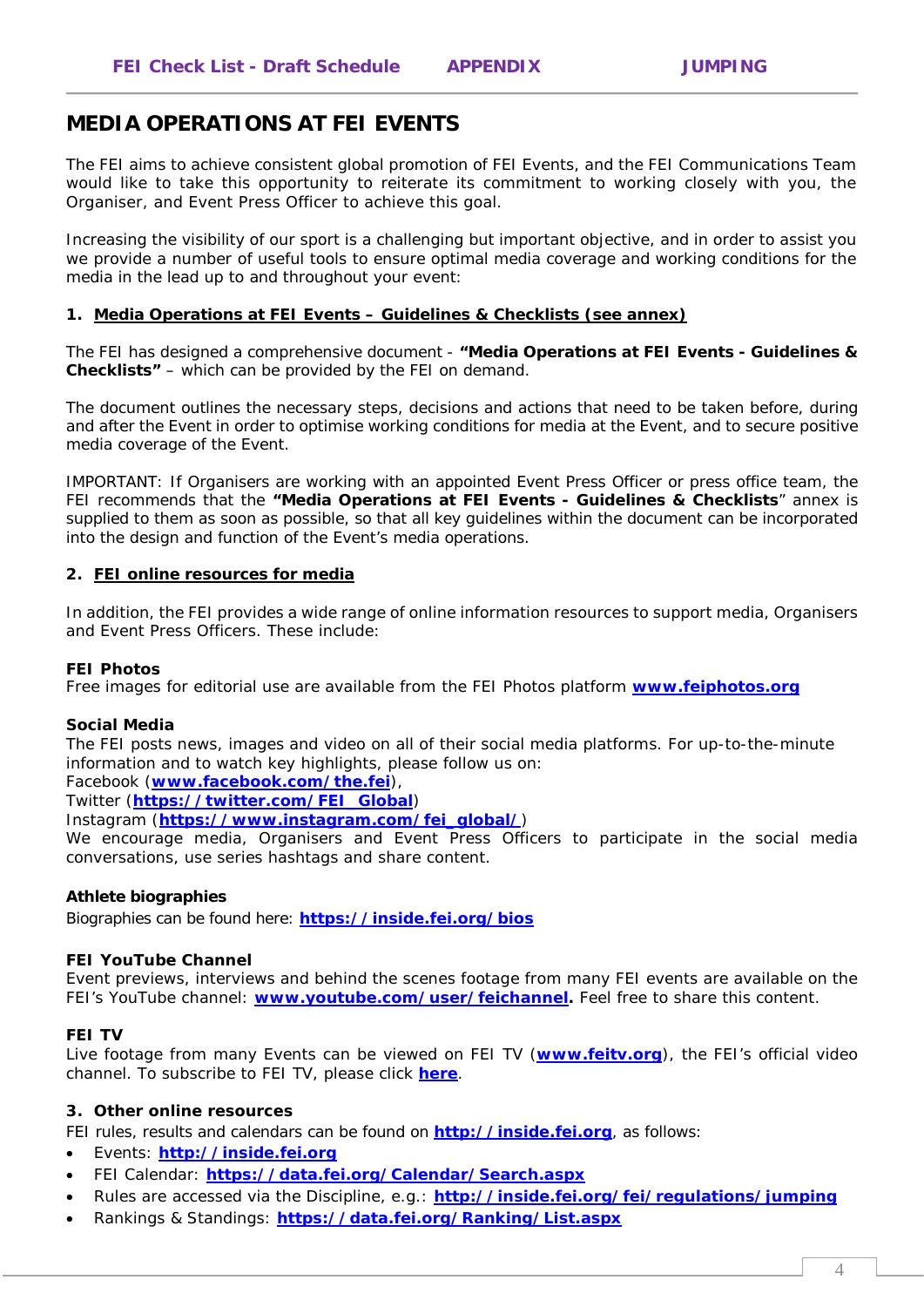# **MEDIA OPERATIONS AT FEI EVENTS**

The FEI aims to achieve consistent global promotion of FEI Events, and the FEI Communications Team would like to take this opportunity to reiterate its commitment to working closely with you, the Organiser, and Event Press Officer to achieve this goal.

Increasing the visibility of our sport is a challenging but important objective, and in order to assist you we provide a number of useful tools to ensure optimal media coverage and working conditions for the media in the lead up to and throughout your event:

#### **1. Media Operations at FEI Events – Guidelines & Checklists (see annex)**

The FEI has designed a comprehensive document - **"Media Operations at FEI Events - Guidelines & Checklists"** – which can be provided by the FEI on demand.

The document outlines the necessary steps, decisions and actions that need to be taken before, during and after the Event in order to optimise working conditions for media at the Event, and to secure positive media coverage of the Event.

IMPORTANT: If Organisers are working with an appointed Event Press Officer or press office team, the FEI recommends that the **"Media Operations at FEI Events - Guidelines & Checklists**" annex is supplied to them as soon as possible, so that all key guidelines within the document can be incorporated into the design and function of the Event's media operations.

#### **2. FEI online resources for media**

In addition, the FEI provides a wide range of online information resources to support media, Organisers and Event Press Officers. These include:

### **FEI Photos**

Free images for editorial use are available from the FEI Photos platform **[www.feiphotos.org](http://www.feiphotos.org/)**

#### **Social Media**

The FEI posts news, images and video on all of their social media platforms. For up-to-the-minute information and to watch key highlights, please follow us on:

Facebook (**[www.facebook.com/the.fei](http://www.facebook.com/the.fei)**),

Twitter (**[https://twitter.com/FEI\\_Global](https://twitter.com/FEI_Global)**)

Instagram (**[https://www.instagram.com/fei\\_global/](https://www.instagram.com/fei_global/)**)

We encourage media, Organisers and Event Press Officers to participate in the social media conversations, use series hashtags and share content.

### **Athlete biographies**

Biographies can be found here: **<https://inside.fei.org/bios>**

### **FEI YouTube Channel**

Event previews, interviews and behind the scenes footage from many FEI events are available on the FEI's YouTube channel: **[www.youtube.com/user/feichannel.](http://www.youtube.com/user/feichannel)** Feel free to share this content.

#### **FEI TV**

Live footage from many Events can be viewed on FEI TV (**[www.feitv.org](http://www.feitv.org/)**), the FEI's official video channel. To subscribe to FEI TV, please click **[here](https://secure-feitv.premiumtv.co.uk/page/secure/loginOrBuy/0,,12664,00.html)**.

#### **3. Other online resources**

FEI rules, results and calendars can be found on **http://inside.fei.org**, as follows:

- Events: **http://inside.fei.org**
- FEI Calendar: **<https://data.fei.org/Calendar/Search.aspx>**
- Rules are accessed via the Discipline, e.g.: **http://inside.fei.org/fei/regulations/jumping**
- Rankings & Standings: **<https://data.fei.org/Ranking/List.aspx>**